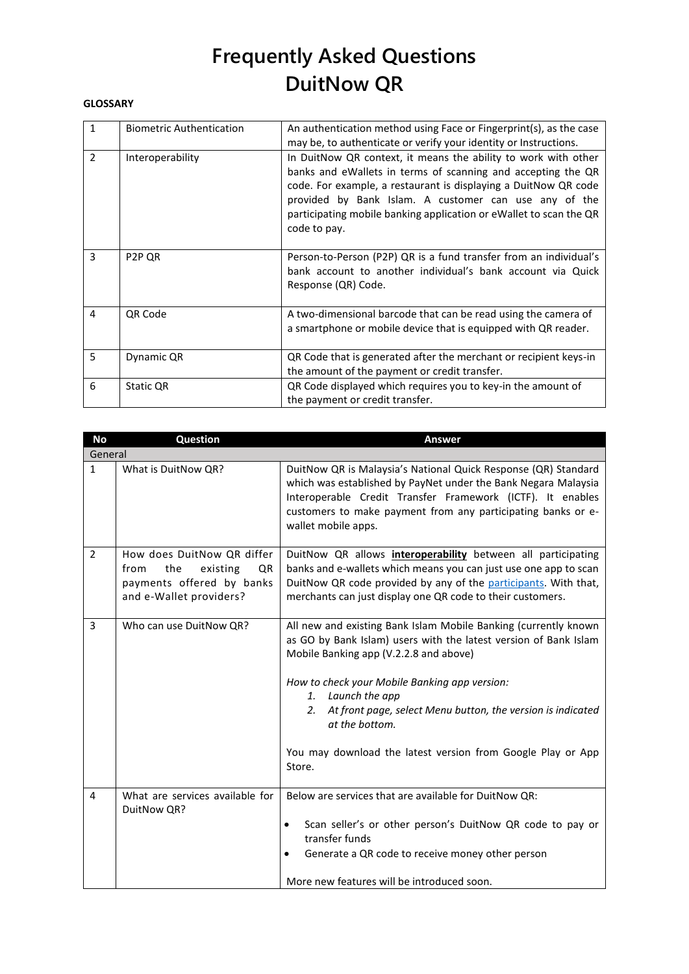#### **GLOSSARY**

| $\mathbf{1}$  | <b>Biometric Authentication</b> | An authentication method using Face or Fingerprint(s), as the case<br>may be, to authenticate or verify your identity or Instructions.                                                                                                                                                                                                           |
|---------------|---------------------------------|--------------------------------------------------------------------------------------------------------------------------------------------------------------------------------------------------------------------------------------------------------------------------------------------------------------------------------------------------|
| $\mathcal{P}$ | Interoperability                | In DuitNow QR context, it means the ability to work with other<br>banks and eWallets in terms of scanning and accepting the QR<br>code. For example, a restaurant is displaying a DuitNow QR code<br>provided by Bank Islam. A customer can use any of the<br>participating mobile banking application or eWallet to scan the QR<br>code to pay. |
| 3             | P <sub>2</sub> P <sub>QR</sub>  | Person-to-Person (P2P) QR is a fund transfer from an individual's<br>bank account to another individual's bank account via Quick<br>Response (QR) Code.                                                                                                                                                                                          |
| 4             | <b>QR Code</b>                  | A two-dimensional barcode that can be read using the camera of<br>a smartphone or mobile device that is equipped with QR reader.                                                                                                                                                                                                                 |
| 5             | Dynamic QR                      | QR Code that is generated after the merchant or recipient keys-in<br>the amount of the payment or credit transfer.                                                                                                                                                                                                                               |
| 6             | Static QR                       | QR Code displayed which requires you to key-in the amount of<br>the payment or credit transfer.                                                                                                                                                                                                                                                  |

| <b>No</b>      | <b>Question</b>                                                                                                     | <b>Answer</b>                                                                                                                                                                                                                                                                                                                                                                                                       |
|----------------|---------------------------------------------------------------------------------------------------------------------|---------------------------------------------------------------------------------------------------------------------------------------------------------------------------------------------------------------------------------------------------------------------------------------------------------------------------------------------------------------------------------------------------------------------|
| General        |                                                                                                                     |                                                                                                                                                                                                                                                                                                                                                                                                                     |
| $\mathbf{1}$   | What is DuitNow QR?                                                                                                 | DuitNow QR is Malaysia's National Quick Response (QR) Standard<br>which was established by PayNet under the Bank Negara Malaysia<br>Interoperable Credit Transfer Framework (ICTF). It enables<br>customers to make payment from any participating banks or e-<br>wallet mobile apps.                                                                                                                               |
| $\overline{2}$ | How does DuitNow QR differ<br>the<br>existing<br>from<br>QR<br>payments offered by banks<br>and e-Wallet providers? | DuitNow QR allows <i>interoperability</i> between all participating<br>banks and e-wallets which means you can just use one app to scan<br>DuitNow QR code provided by any of the participants. With that,<br>merchants can just display one QR code to their customers.                                                                                                                                            |
| 3              | Who can use DuitNow QR?                                                                                             | All new and existing Bank Islam Mobile Banking (currently known<br>as GO by Bank Islam) users with the latest version of Bank Islam<br>Mobile Banking app (V.2.2.8 and above)<br>How to check your Mobile Banking app version:<br>1. Launch the app<br>At front page, select Menu button, the version is indicated<br>2.<br>at the bottom.<br>You may download the latest version from Google Play or App<br>Store. |
| 4              | What are services available for<br>DuitNow QR?                                                                      | Below are services that are available for DuitNow QR:<br>Scan seller's or other person's DuitNow QR code to pay or<br>$\bullet$<br>transfer funds<br>Generate a QR code to receive money other person<br>More new features will be introduced soon.                                                                                                                                                                 |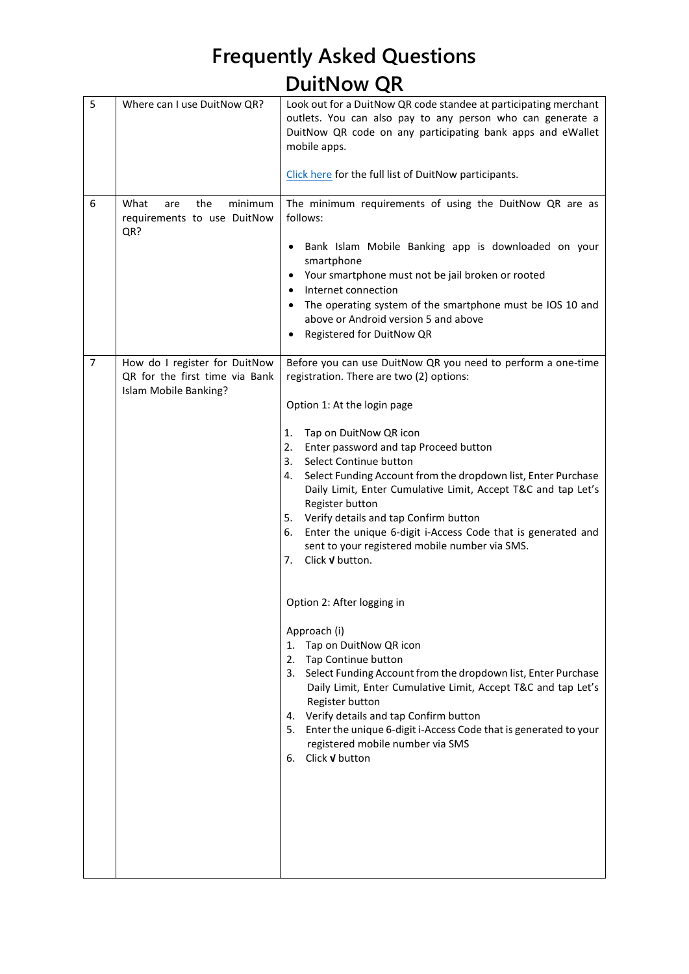| 5 | Where can I use DuitNow QR?                                                              | Look out for a DuitNow QR code standee at participating merchant                                                                                                                                                                                                                                                          |
|---|------------------------------------------------------------------------------------------|---------------------------------------------------------------------------------------------------------------------------------------------------------------------------------------------------------------------------------------------------------------------------------------------------------------------------|
|   |                                                                                          | outlets. You can also pay to any person who can generate a<br>DuitNow QR code on any participating bank apps and eWallet<br>mobile apps.                                                                                                                                                                                  |
|   |                                                                                          | Click here for the full list of DuitNow participants.                                                                                                                                                                                                                                                                     |
| 6 | minimum<br>What<br>the<br>are<br>requirements to use DuitNow<br>QR?                      | The minimum requirements of using the DuitNow QR are as<br>follows:<br>Bank Islam Mobile Banking app is downloaded on your<br>smartphone<br>Your smartphone must not be jail broken or rooted<br>Internet connection<br>The operating system of the smartphone must be IOS 10 and<br>above or Android version 5 and above |
|   |                                                                                          | Registered for DuitNow QR                                                                                                                                                                                                                                                                                                 |
| 7 | How do I register for DuitNow<br>QR for the first time via Bank<br>Islam Mobile Banking? | Before you can use DuitNow QR you need to perform a one-time<br>registration. There are two (2) options:                                                                                                                                                                                                                  |
|   |                                                                                          | Option 1: At the login page                                                                                                                                                                                                                                                                                               |
|   |                                                                                          | Tap on DuitNow QR icon<br>1.                                                                                                                                                                                                                                                                                              |
|   |                                                                                          | 2.<br>Enter password and tap Proceed button                                                                                                                                                                                                                                                                               |
|   |                                                                                          | Select Continue button<br>3.<br>Select Funding Account from the dropdown list, Enter Purchase<br>4.                                                                                                                                                                                                                       |
|   |                                                                                          | Daily Limit, Enter Cumulative Limit, Accept T&C and tap Let's                                                                                                                                                                                                                                                             |
|   |                                                                                          | Register button<br>Verify details and tap Confirm button<br>5.                                                                                                                                                                                                                                                            |
|   |                                                                                          | Enter the unique 6-digit i-Access Code that is generated and<br>6.<br>sent to your registered mobile number via SMS.<br>Click <b>v</b> button.<br>7.                                                                                                                                                                      |
|   |                                                                                          |                                                                                                                                                                                                                                                                                                                           |
|   |                                                                                          | Option 2: After logging in                                                                                                                                                                                                                                                                                                |
|   |                                                                                          | Approach (i)<br>1. Tap on DuitNow QR icon                                                                                                                                                                                                                                                                                 |
|   |                                                                                          | 2. Tap Continue button                                                                                                                                                                                                                                                                                                    |
|   |                                                                                          | 3. Select Funding Account from the dropdown list, Enter Purchase<br>Daily Limit, Enter Cumulative Limit, Accept T&C and tap Let's<br>Register button                                                                                                                                                                      |
|   |                                                                                          | 4. Verify details and tap Confirm button<br>5. Enter the unique 6-digit i-Access Code that is generated to your<br>registered mobile number via SMS                                                                                                                                                                       |
|   |                                                                                          | 6. Click v button                                                                                                                                                                                                                                                                                                         |
|   |                                                                                          |                                                                                                                                                                                                                                                                                                                           |
|   |                                                                                          |                                                                                                                                                                                                                                                                                                                           |
|   |                                                                                          |                                                                                                                                                                                                                                                                                                                           |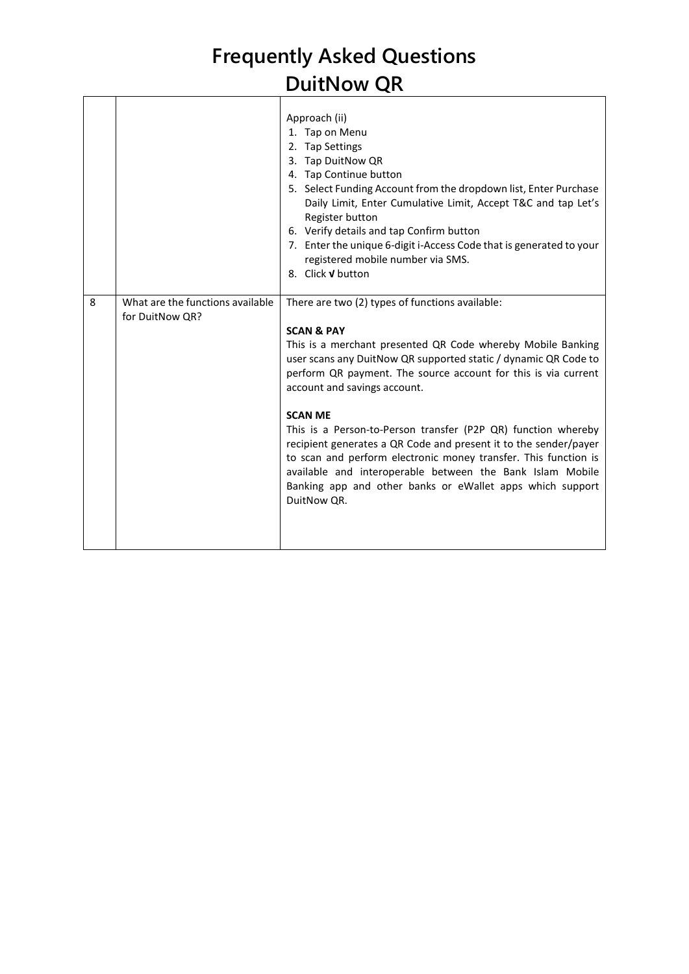|   |                                                     | Approach (ii)<br>1. Tap on Menu<br>2. Tap Settings<br>3. Tap DuitNow QR<br>4. Tap Continue button<br>5. Select Funding Account from the dropdown list, Enter Purchase<br>Daily Limit, Enter Cumulative Limit, Accept T&C and tap Let's<br>Register button<br>6. Verify details and tap Confirm button<br>7. Enter the unique 6-digit i-Access Code that is generated to your<br>registered mobile number via SMS.<br>8. Click V button                                                                                                                                                                                                                                          |
|---|-----------------------------------------------------|---------------------------------------------------------------------------------------------------------------------------------------------------------------------------------------------------------------------------------------------------------------------------------------------------------------------------------------------------------------------------------------------------------------------------------------------------------------------------------------------------------------------------------------------------------------------------------------------------------------------------------------------------------------------------------|
| 8 | What are the functions available<br>for DuitNow QR? | There are two (2) types of functions available:<br><b>SCAN &amp; PAY</b><br>This is a merchant presented QR Code whereby Mobile Banking<br>user scans any DuitNow QR supported static / dynamic QR Code to<br>perform QR payment. The source account for this is via current<br>account and savings account.<br><b>SCAN ME</b><br>This is a Person-to-Person transfer (P2P QR) function whereby<br>recipient generates a QR Code and present it to the sender/payer<br>to scan and perform electronic money transfer. This function is<br>available and interoperable between the Bank Islam Mobile<br>Banking app and other banks or eWallet apps which support<br>DuitNow QR. |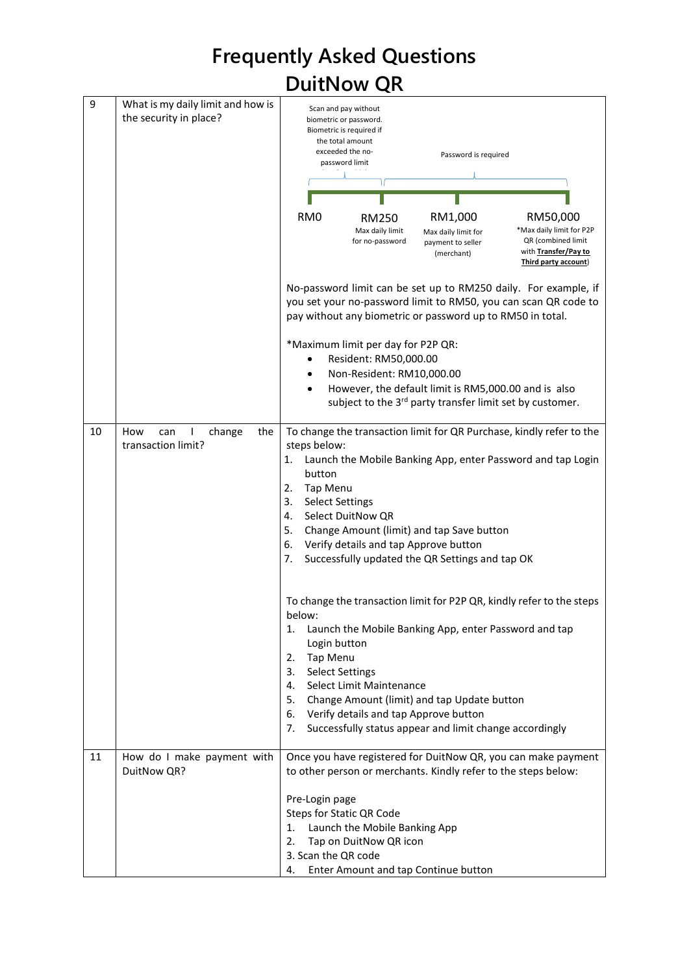|    |                                                             | <b>Frequently Asked Questions</b>                                                                                                                                                                                                                                                                                                                                                                                            |
|----|-------------------------------------------------------------|------------------------------------------------------------------------------------------------------------------------------------------------------------------------------------------------------------------------------------------------------------------------------------------------------------------------------------------------------------------------------------------------------------------------------|
|    |                                                             | <b>DuitNow QR</b>                                                                                                                                                                                                                                                                                                                                                                                                            |
| 9  | What is my daily limit and how is<br>the security in place? | Scan and pay without<br>biometric or password.<br>Biometric is required if<br>the total amount<br>exceeded the no-<br>Password is required<br>password limit<br>RM <sub>0</sub><br>RM1,000<br>RM50,000<br><b>RM250</b><br>*Max daily limit for P2P<br>Max daily limit<br>Max daily limit for<br>QR (combined limit<br>for no-password<br>payment to seller<br>with Transfer/Pay to<br>(merchant)<br>Third party account)     |
|    |                                                             | No-password limit can be set up to RM250 daily. For example, if<br>you set your no-password limit to RM50, you can scan QR code to<br>pay without any biometric or password up to RM50 in total.<br>*Maximum limit per day for P2P QR:<br>Resident: RM50,000.00<br>Non-Resident: RM10,000.00<br>However, the default limit is RM5,000.00 and is also<br>subject to the 3 <sup>rd</sup> party transfer limit set by customer. |
| 10 | can<br>the<br>How<br>change<br>transaction limit?           | To change the transaction limit for QR Purchase, kindly refer to the<br>steps below:<br>Launch the Mobile Banking App, enter Password and tap Login<br>1.<br>button<br><b>Tap Menu</b><br>2.<br>3.<br><b>Select Settings</b><br>Select DuitNow QR<br>4.<br>5.<br>Change Amount (limit) and tap Save button<br>Verify details and tap Approve button<br>6.<br>7. Successfully updated the QR Settings and tap OK              |
|    |                                                             | To change the transaction limit for P2P QR, kindly refer to the steps<br>below:<br>Launch the Mobile Banking App, enter Password and tap<br>1.<br>Login button<br>Tap Menu<br>2.<br><b>Select Settings</b><br>3.<br>Select Limit Maintenance<br>4.<br>5.<br>Change Amount (limit) and tap Update button<br>6. Verify details and tap Approve button<br>Successfully status appear and limit change accordingly<br>7.         |
| 11 | How do I make payment with<br>DuitNow QR?                   | Once you have registered for DuitNow QR, you can make payment<br>to other person or merchants. Kindly refer to the steps below:<br>Pre-Login page<br><b>Steps for Static QR Code</b><br>Launch the Mobile Banking App<br>1.<br>Tap on DuitNow QR icon<br>2.<br>3. Scan the QR code<br>Enter Amount and tap Continue button<br>4.                                                                                             |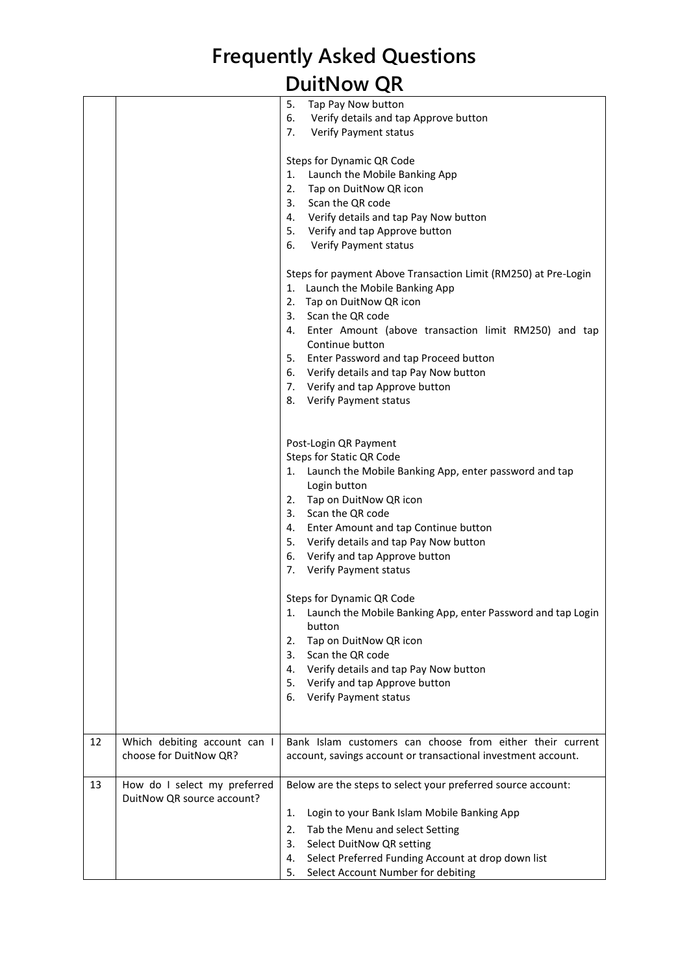|    |                                                            | 5.<br>Tap Pay Now button<br>6.<br>Verify details and tap Approve button<br>7.<br>Verify Payment status                                                                                                                                                                                                                                                                                                    |
|----|------------------------------------------------------------|-----------------------------------------------------------------------------------------------------------------------------------------------------------------------------------------------------------------------------------------------------------------------------------------------------------------------------------------------------------------------------------------------------------|
|    |                                                            | Steps for Dynamic QR Code<br>Launch the Mobile Banking App<br>1.<br>2.<br>Tap on DuitNow QR icon<br>3.<br>Scan the QR code<br>4. Verify details and tap Pay Now button<br>5. Verify and tap Approve button<br>6.<br><b>Verify Payment status</b>                                                                                                                                                          |
|    |                                                            | Steps for payment Above Transaction Limit (RM250) at Pre-Login<br>1. Launch the Mobile Banking App<br>2. Tap on DuitNow QR icon<br>3. Scan the QR code<br>Enter Amount (above transaction limit RM250) and tap<br>4.<br>Continue button<br>5. Enter Password and tap Proceed button<br>6. Verify details and tap Pay Now button<br>7. Verify and tap Approve button<br><b>Verify Payment status</b><br>8. |
|    |                                                            | Post-Login QR Payment<br>Steps for Static QR Code<br>1. Launch the Mobile Banking App, enter password and tap<br>Login button<br>2. Tap on DuitNow QR icon<br>Scan the QR code<br>3.<br>Enter Amount and tap Continue button<br>4.<br>5. Verify details and tap Pay Now button<br>6.<br>Verify and tap Approve button<br>Verify Payment status<br>7.                                                      |
|    |                                                            | Steps for Dynamic QR Code<br>Launch the Mobile Banking App, enter Password and tap Login<br>1.<br>button<br>Tap on DuitNow QR icon<br>2.<br>Scan the QR code<br>3.<br>Verify details and tap Pay Now button<br>4.<br>Verify and tap Approve button<br>5.<br>Verify Payment status<br>6.                                                                                                                   |
| 12 | Which debiting account can I<br>choose for DuitNow QR?     | Bank Islam customers can choose from either their current<br>account, savings account or transactional investment account.                                                                                                                                                                                                                                                                                |
| 13 | How do I select my preferred<br>DuitNow QR source account? | Below are the steps to select your preferred source account:<br>Login to your Bank Islam Mobile Banking App<br>1.<br>2.<br>Tab the Menu and select Setting<br>Select DuitNow QR setting<br>3.<br>Select Preferred Funding Account at drop down list<br>4.<br>Select Account Number for debiting<br>5.                                                                                                     |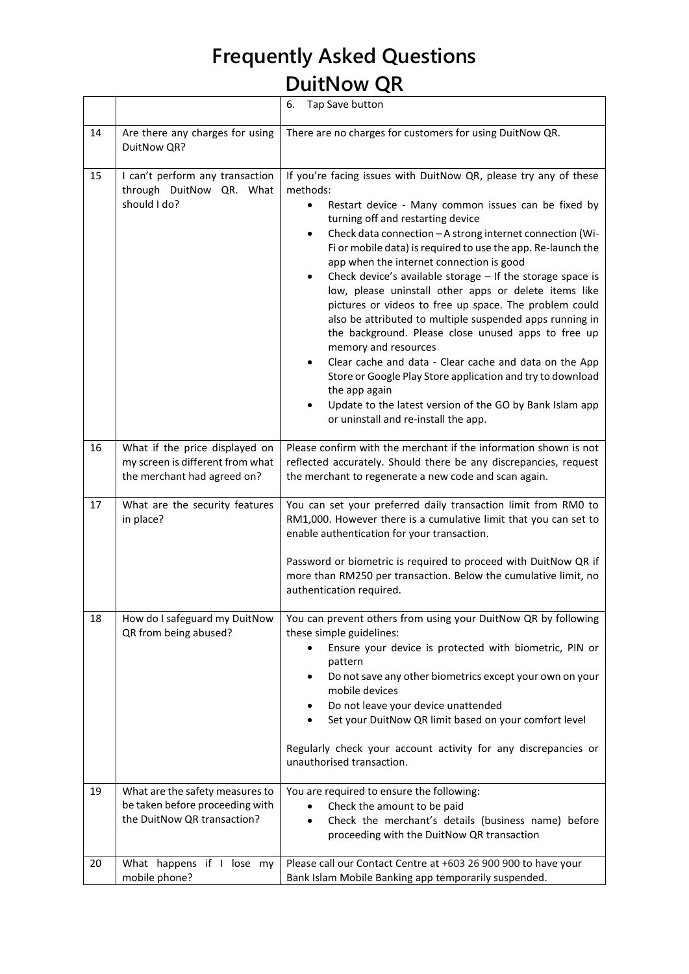|    |                                                                                                   | 6.<br>Tap Save button                                                                                                                                                                                                                                                                                                                                                                                                                                                                                                                                                                                                                                                                                                                                                                                                                                                                                                                                             |
|----|---------------------------------------------------------------------------------------------------|-------------------------------------------------------------------------------------------------------------------------------------------------------------------------------------------------------------------------------------------------------------------------------------------------------------------------------------------------------------------------------------------------------------------------------------------------------------------------------------------------------------------------------------------------------------------------------------------------------------------------------------------------------------------------------------------------------------------------------------------------------------------------------------------------------------------------------------------------------------------------------------------------------------------------------------------------------------------|
| 14 | Are there any charges for using<br>DuitNow QR?                                                    | There are no charges for customers for using DuitNow QR.                                                                                                                                                                                                                                                                                                                                                                                                                                                                                                                                                                                                                                                                                                                                                                                                                                                                                                          |
| 15 | I can't perform any transaction<br>through DuitNow QR. What<br>should I do?                       | If you're facing issues with DuitNow QR, please try any of these<br>methods:<br>Restart device - Many common issues can be fixed by<br>$\bullet$<br>turning off and restarting device<br>Check data connection - A strong internet connection (Wi-<br>$\bullet$<br>Fi or mobile data) is required to use the app. Re-launch the<br>app when the internet connection is good<br>Check device's available storage - If the storage space is<br>$\bullet$<br>low, please uninstall other apps or delete items like<br>pictures or videos to free up space. The problem could<br>also be attributed to multiple suspended apps running in<br>the background. Please close unused apps to free up<br>memory and resources<br>Clear cache and data - Clear cache and data on the App<br>Store or Google Play Store application and try to download<br>the app again<br>Update to the latest version of the GO by Bank Islam app<br>or uninstall and re-install the app. |
| 16 | What if the price displayed on<br>my screen is different from what<br>the merchant had agreed on? | Please confirm with the merchant if the information shown is not<br>reflected accurately. Should there be any discrepancies, request<br>the merchant to regenerate a new code and scan again.                                                                                                                                                                                                                                                                                                                                                                                                                                                                                                                                                                                                                                                                                                                                                                     |
| 17 | What are the security features<br>in place?                                                       | You can set your preferred daily transaction limit from RM0 to<br>RM1,000. However there is a cumulative limit that you can set to<br>enable authentication for your transaction.<br>Password or biometric is required to proceed with DuitNow QR if<br>more than RM250 per transaction. Below the cumulative limit, no<br>authentication required.                                                                                                                                                                                                                                                                                                                                                                                                                                                                                                                                                                                                               |
| 18 | How do I safeguard my DuitNow<br>QR from being abused?                                            | You can prevent others from using your DuitNow QR by following<br>these simple guidelines:<br>Ensure your device is protected with biometric, PIN or<br>pattern<br>Do not save any other biometrics except your own on your<br>٠<br>mobile devices<br>Do not leave your device unattended<br>٠<br>Set your DuitNow QR limit based on your comfort level<br>$\bullet$<br>Regularly check your account activity for any discrepancies or<br>unauthorised transaction.                                                                                                                                                                                                                                                                                                                                                                                                                                                                                               |
| 19 | What are the safety measures to<br>be taken before proceeding with<br>the DuitNow QR transaction? | You are required to ensure the following:<br>Check the amount to be paid<br>Check the merchant's details (business name) before<br>$\bullet$<br>proceeding with the DuitNow QR transaction                                                                                                                                                                                                                                                                                                                                                                                                                                                                                                                                                                                                                                                                                                                                                                        |
| 20 | What happens if I lose my<br>mobile phone?                                                        | Please call our Contact Centre at +603 26 900 900 to have your<br>Bank Islam Mobile Banking app temporarily suspended.                                                                                                                                                                                                                                                                                                                                                                                                                                                                                                                                                                                                                                                                                                                                                                                                                                            |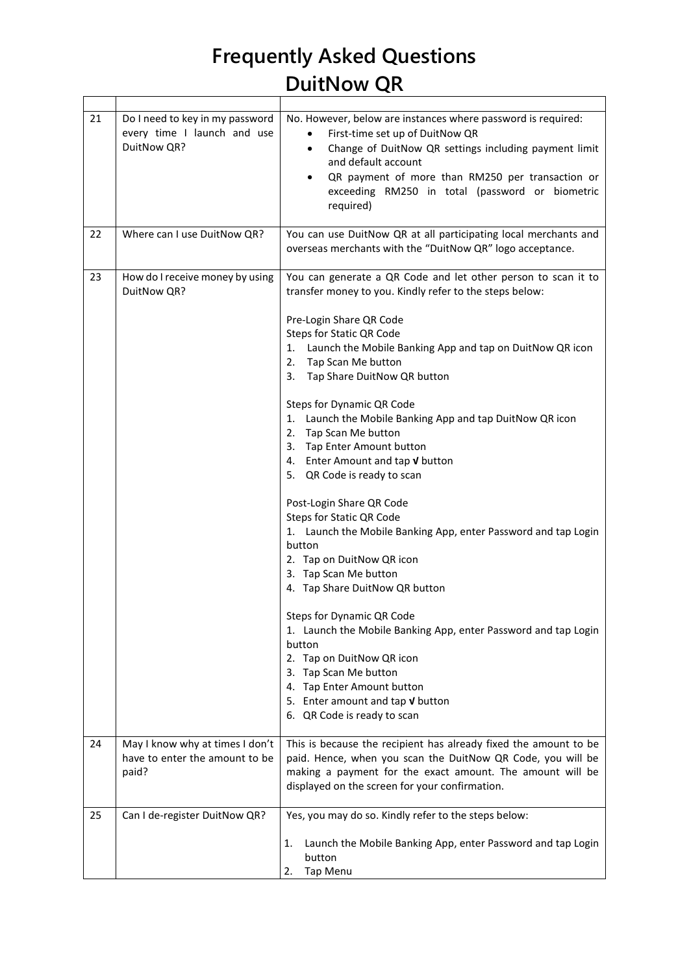$\overline{a}$ 

| 21 | Do I need to key in my password<br>every time I launch and use<br>DuitNow QR? | No. However, below are instances where password is required:<br>First-time set up of DuitNow QR<br>$\bullet$<br>Change of DuitNow QR settings including payment limit<br>$\bullet$<br>and default account<br>QR payment of more than RM250 per transaction or<br>$\bullet$<br>exceeding RM250 in total (password or biometric<br>required)                                                                                                                                                                                                                                                                                                                                                                                                                                                                                                                                                                                                                                                                                                     |
|----|-------------------------------------------------------------------------------|------------------------------------------------------------------------------------------------------------------------------------------------------------------------------------------------------------------------------------------------------------------------------------------------------------------------------------------------------------------------------------------------------------------------------------------------------------------------------------------------------------------------------------------------------------------------------------------------------------------------------------------------------------------------------------------------------------------------------------------------------------------------------------------------------------------------------------------------------------------------------------------------------------------------------------------------------------------------------------------------------------------------------------------------|
| 22 | Where can I use DuitNow QR?                                                   | You can use DuitNow QR at all participating local merchants and<br>overseas merchants with the "DuitNow QR" logo acceptance.                                                                                                                                                                                                                                                                                                                                                                                                                                                                                                                                                                                                                                                                                                                                                                                                                                                                                                                   |
| 23 | How do I receive money by using<br>DuitNow QR?                                | You can generate a QR Code and let other person to scan it to<br>transfer money to you. Kindly refer to the steps below:<br>Pre-Login Share QR Code<br><b>Steps for Static QR Code</b><br>1. Launch the Mobile Banking App and tap on DuitNow QR icon<br>2.<br>Tap Scan Me button<br>Tap Share DuitNow QR button<br>3.<br>Steps for Dynamic QR Code<br>1. Launch the Mobile Banking App and tap DuitNow QR icon<br>2. Tap Scan Me button<br>3. Tap Enter Amount button<br>4. Enter Amount and tap V button<br>5. QR Code is ready to scan<br>Post-Login Share QR Code<br>Steps for Static QR Code<br>1. Launch the Mobile Banking App, enter Password and tap Login<br>button<br>2. Tap on DuitNow QR icon<br>3. Tap Scan Me button<br>4. Tap Share DuitNow QR button<br>Steps for Dynamic QR Code<br>1. Launch the Mobile Banking App, enter Password and tap Login<br>button<br>2. Tap on DuitNow QR icon<br>3. Tap Scan Me button<br>4. Tap Enter Amount button<br>5. Enter amount and tap $\sqrt{v}$ button<br>6. QR Code is ready to scan |
| 24 | May I know why at times I don't                                               | This is because the recipient has already fixed the amount to be                                                                                                                                                                                                                                                                                                                                                                                                                                                                                                                                                                                                                                                                                                                                                                                                                                                                                                                                                                               |
|    | have to enter the amount to be<br>paid?                                       | paid. Hence, when you scan the DuitNow QR Code, you will be<br>making a payment for the exact amount. The amount will be<br>displayed on the screen for your confirmation.                                                                                                                                                                                                                                                                                                                                                                                                                                                                                                                                                                                                                                                                                                                                                                                                                                                                     |
| 25 | Can I de-register DuitNow QR?                                                 | Yes, you may do so. Kindly refer to the steps below:                                                                                                                                                                                                                                                                                                                                                                                                                                                                                                                                                                                                                                                                                                                                                                                                                                                                                                                                                                                           |
|    |                                                                               | Launch the Mobile Banking App, enter Password and tap Login<br>1.<br>button<br>Tap Menu<br>2.                                                                                                                                                                                                                                                                                                                                                                                                                                                                                                                                                                                                                                                                                                                                                                                                                                                                                                                                                  |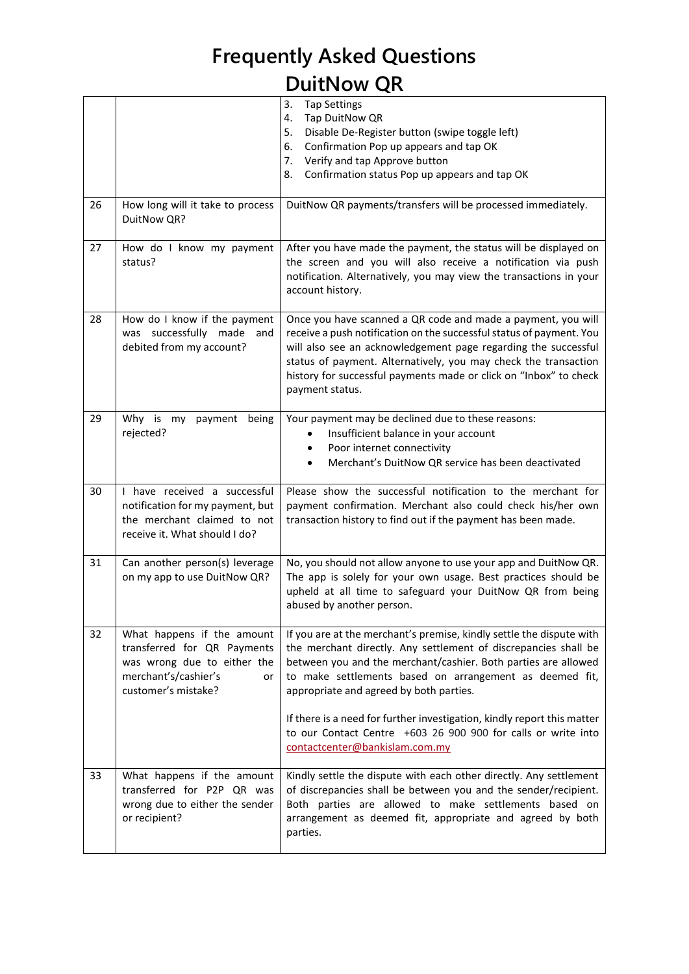|    |                                                                                                                                               | 3.<br><b>Tap Settings</b><br>Tap DuitNow QR<br>4.<br>Disable De-Register button (swipe toggle left)<br>5.<br>Confirmation Pop up appears and tap OK<br>6.<br>Verify and tap Approve button<br>7.<br>Confirmation status Pop up appears and tap OK<br>8.                                                                                                                                    |
|----|-----------------------------------------------------------------------------------------------------------------------------------------------|--------------------------------------------------------------------------------------------------------------------------------------------------------------------------------------------------------------------------------------------------------------------------------------------------------------------------------------------------------------------------------------------|
| 26 | How long will it take to process<br>DuitNow QR?                                                                                               | DuitNow QR payments/transfers will be processed immediately.                                                                                                                                                                                                                                                                                                                               |
| 27 | How do I know my payment<br>status?                                                                                                           | After you have made the payment, the status will be displayed on<br>the screen and you will also receive a notification via push<br>notification. Alternatively, you may view the transactions in your<br>account history.                                                                                                                                                                 |
| 28 | How do I know if the payment<br>was successfully made<br>and<br>debited from my account?                                                      | Once you have scanned a QR code and made a payment, you will<br>receive a push notification on the successful status of payment. You<br>will also see an acknowledgement page regarding the successful<br>status of payment. Alternatively, you may check the transaction<br>history for successful payments made or click on "Inbox" to check<br>payment status.                          |
| 29 | Why is my<br>payment<br>being<br>rejected?                                                                                                    | Your payment may be declined due to these reasons:<br>Insufficient balance in your account<br>Poor internet connectivity<br>Merchant's DuitNow QR service has been deactivated                                                                                                                                                                                                             |
| 30 | I have received a successful<br>notification for my payment, but<br>the merchant claimed to not<br>receive it. What should I do?              | Please show the successful notification to the merchant for<br>payment confirmation. Merchant also could check his/her own<br>transaction history to find out if the payment has been made.                                                                                                                                                                                                |
| 31 | Can another person(s) leverage<br>on my app to use DuitNow QR?                                                                                | No, you should not allow anyone to use your app and DuitNow QR.<br>The app is solely for your own usage. Best practices should be<br>upheld at all time to safeguard your DuitNow QR from being<br>abused by another person.                                                                                                                                                               |
| 32 | What happens if the amount<br>transferred for QR Payments<br>was wrong due to either the<br>merchant's/cashier's<br>or<br>customer's mistake? | If you are at the merchant's premise, kindly settle the dispute with<br>the merchant directly. Any settlement of discrepancies shall be<br>between you and the merchant/cashier. Both parties are allowed<br>to make settlements based on arrangement as deemed fit,<br>appropriate and agreed by both parties.<br>If there is a need for further investigation, kindly report this matter |
|    |                                                                                                                                               | to our Contact Centre +603 26 900 900 for calls or write into<br>contactcenter@bankislam.com.my                                                                                                                                                                                                                                                                                            |
| 33 | What happens if the amount<br>transferred for P2P QR was<br>wrong due to either the sender<br>or recipient?                                   | Kindly settle the dispute with each other directly. Any settlement<br>of discrepancies shall be between you and the sender/recipient.<br>Both parties are allowed to make settlements based on<br>arrangement as deemed fit, appropriate and agreed by both<br>parties.                                                                                                                    |